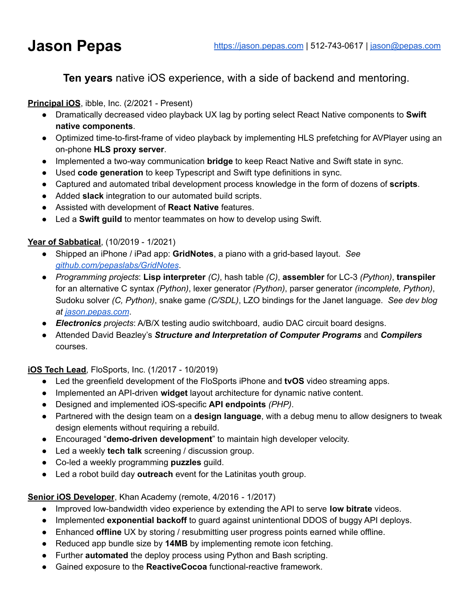# **Ten years** native iOS experience, with a side of backend and mentoring.

### **Principal iOS**, ibble, Inc. (2/2021 - Present)

- Dramatically decreased video playback UX lag by porting select React Native components to **Swift native components**.
- Optimized time-to-first-frame of video playback by implementing HLS prefetching for AVPlayer using an on-phone **HLS proxy server**.
- Implemented a two-way communication **bridge** to keep React Native and Swift state in sync.
- Used **code generation** to keep Typescript and Swift type definitions in sync.
- Captured and automated tribal development process knowledge in the form of dozens of **scripts**.
- Added **slack** integration to our automated build scripts.
- Assisted with development of **React Native** features.
- Led a **Swift guild** to mentor teammates on how to develop using Swift.

# **Year of Sabbatical**, (10/2019 - 1/2021)

- Shipped an iPhone / iPad app: **GridNotes**, a piano with a grid-based layout. *See [github.com/pepaslabs/GridNotes](https://github.com/pepaslabs/GridNotes)*.
- *Programming projects*: **Lisp interpreter** *(C)*, hash table *(C)*, **assembler** for LC-3 *(Python)*, **transpiler** for an alternative C syntax *(Python)*, lexer generator *(Python)*, parser generator *(incomplete, Python)*, Sudoku solver *(C, Python)*, snake game *(C/SDL)*, LZO bindings for the Janet language. *See dev blog at [jason.pepas.com](https://jason.pepas.com)*.
- *Electronics projects*: A/B/X testing audio switchboard, audio DAC circuit board designs.
- Attended David Beazley's *Structure and Interpretation of Computer Programs* and *Compilers* courses.

# **iOS Tech Lead**, FloSports, Inc. (1/2017 - 10/2019)

- Led the greenfield development of the FloSports iPhone and **tvOS** video streaming apps.
- Implemented an API-driven **widget** layout architecture for dynamic native content.
- Designed and implemented iOS-specific **API endpoints** *(PHP)*.
- Partnered with the design team on a **design language**, with a debug menu to allow designers to tweak design elements without requiring a rebuild.
- Encouraged "**demo-driven development**" to maintain high developer velocity.
- Led a weekly **tech talk** screening / discussion group.
- Co-led a weekly programming **puzzles** guild.
- Led a robot build day **outreach** event for the Latinitas youth group.

#### **Senior iOS Developer**, Khan Academy (remote, 4/2016 - 1/2017)

- Improved low-bandwidth video experience by extending the API to serve **low bitrate** videos.
- Implemented **exponential backoff** to guard against unintentional DDOS of buggy API deploys.
- Enhanced **offline** UX by storing / resubmitting user progress points earned while offline.
- Reduced app bundle size by **14MB** by implementing remote icon fetching.
- Further **automated** the deploy process using Python and Bash scripting.
- Gained exposure to the **ReactiveCocoa** functional-reactive framework.